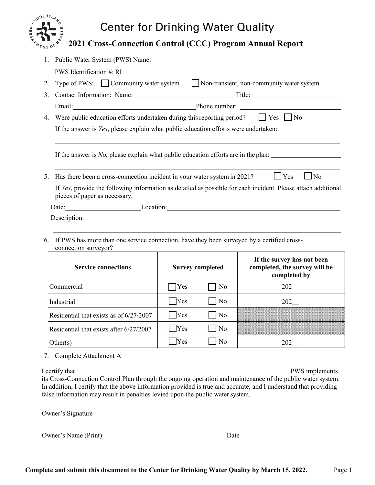## Center for Drinking Water Quality

## **2021 Cross-Connection Control (CCC) Program Annual Report**

|                                                                                                                                                | 1. Public Water System (PWS) Name:                                                                                 |  |  |  |  |  |  |  |  |
|------------------------------------------------------------------------------------------------------------------------------------------------|--------------------------------------------------------------------------------------------------------------------|--|--|--|--|--|--|--|--|
|                                                                                                                                                | PWS Identification #: RI                                                                                           |  |  |  |  |  |  |  |  |
| 2.                                                                                                                                             | Type of PWS: Community water system Non-transient, non-community water system                                      |  |  |  |  |  |  |  |  |
| 3.                                                                                                                                             |                                                                                                                    |  |  |  |  |  |  |  |  |
|                                                                                                                                                | Email: Phone number: Phone number:                                                                                 |  |  |  |  |  |  |  |  |
| Were public education efforts undertaken during this reporting period? $\Box$ Yes $\Box$ No<br>4.                                              |                                                                                                                    |  |  |  |  |  |  |  |  |
|                                                                                                                                                | If the answer is Yes, please explain what public education efforts were undertaken:                                |  |  |  |  |  |  |  |  |
|                                                                                                                                                |                                                                                                                    |  |  |  |  |  |  |  |  |
|                                                                                                                                                | If the answer is No, please explain what public education efforts are in the plan:                                 |  |  |  |  |  |  |  |  |
|                                                                                                                                                |                                                                                                                    |  |  |  |  |  |  |  |  |
| 5.                                                                                                                                             | $\log$<br>$\Box$ Yes<br>Has there been a cross-connection incident in your water system in 2021?                   |  |  |  |  |  |  |  |  |
| If Yes, provide the following information as detailed as possible for each incident. Please attach additional<br>pieces of paper as necessary. |                                                                                                                    |  |  |  |  |  |  |  |  |
|                                                                                                                                                | Date: Location: Location: Location:                                                                                |  |  |  |  |  |  |  |  |
| Description:                                                                                                                                   |                                                                                                                    |  |  |  |  |  |  |  |  |
|                                                                                                                                                |                                                                                                                    |  |  |  |  |  |  |  |  |
| 6.                                                                                                                                             | If PWS has more than one service connection, have they been surveyed by a certified cross-<br>connection surveyor? |  |  |  |  |  |  |  |  |
|                                                                                                                                                | If the current has not been                                                                                        |  |  |  |  |  |  |  |  |

| <b>Service connections</b>              | <b>Survey completed</b> |                     | If the survey has not been<br>completed, the survey will be<br>completed by |  |  |
|-----------------------------------------|-------------------------|---------------------|-----------------------------------------------------------------------------|--|--|
| Commercial                              | $\bigcap$ Yes           | No                  | 202                                                                         |  |  |
| Industrial                              | Yes                     | N <sub>o</sub>      | 202                                                                         |  |  |
| Residential that exists as of 6/27/2007 | $ Y$ es                 | $\overline{\rm No}$ |                                                                             |  |  |
| Residential that exists after 6/27/2007 | Yes                     | $\overline{\rm No}$ |                                                                             |  |  |
| Other(s)                                | Yes                     | No                  | 202                                                                         |  |  |

7. Complete Attachment A

I certify that PWS implements its Cross-Connection Control Plan through the ongoing operation and maintenance of the public water system. In addition, I certify that the above information provided is true and accurate, and I understand that providing false information may result in penalties levied upon the public water system.

Owner's Signature

**RADDE ISLAN** 

| Owner's Name (Print) |  |
|----------------------|--|
|                      |  |